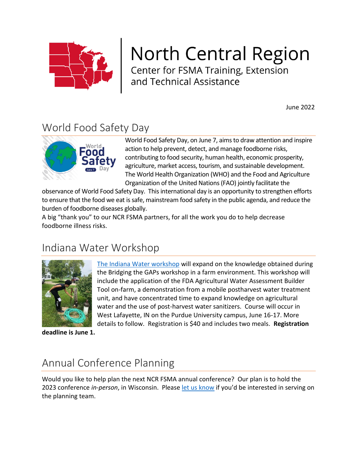

# **North Central Region**

Center for FSMA Training, Extension<br>and Technical Assistance

June 2022

### World Food Safety Day



World Food Safety Day, on June 7, aims to draw attention and inspire action to help prevent, detect, and manage foodborne risks, contributing to food security, human health, economic prosperity, agriculture, market access, tourism, and sustainable development. The World Health Organization (WHO) and the Food and Agriculture Organization of the United Nations (FAO) jointly facilitate the

observance of World Food Safety Day. This international day is an opportunity to strengthen efforts to ensure that the food we eat is safe, mainstream food safety in the public agenda, and reduce the burden of foodborne diseases globally.

A big "thank you" to our NCR FSMA partners, for all the work you do to help decrease foodborne illness risks.

### Indiana Water Workshop



[The Indiana Water workshop](https://www.ncrfsma.org/indiana-water-event) will expand on the knowledge obtained during the Bridging the GAPs workshop in a farm environment. This workshop will include the application of the FDA Agricultural Water Assessment Builder Tool on-farm, a demonstration from a mobile postharvest water treatment unit, and have concentrated time to expand knowledge on agricultural water and the use of post-harvest water sanitizers. Course will occur in West Lafayette, IN on the Purdue University campus, June 16-17. More details to follow. [Registration](https://www.ncrfsma.org/indiana-water-day-event) is \$40 and includes two meals. **Registration** 

**deadline is June 1.**

# Annual Conference Planning

Would you like to help plan the next NCR FSMA annual conference? Our plan is to hold the 2023 conference *in-person*, in Wisconsin. Please [let us know](mailto:johnsene@iastate.edu) if you'd be interested in serving on the planning team.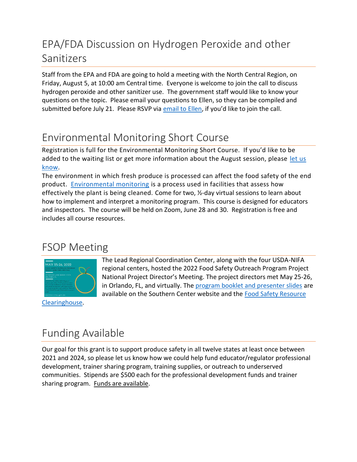# EPA/FDA Discussion on Hydrogen Peroxide and other Sanitizers

Staff from the EPA and FDA are going to hold a meeting with the North Central Region, on Friday, August 5, at 10:00 am Central time. Everyone is welcome to join the call to discuss hydrogen peroxide and other sanitizer use. The government staff would like to know your questions on the topic. Please email your questions to Ellen, so they can be compiled and submitted before July 21. Please RSVP via [email to Ellen](mailto:johnsene@iastate.edu), if you'd like to join the call.

## Environmental Monitoring Short Course

Registration is full for the Environmental Monitoring Short Course. If you'd like to be added to the waiting list or get more information about the August session, please let us [know.](https://iastate.qualtrics.com/jfe/form/SV_cHkurjihI7JXXaS)

The environment in which fresh produce is processed can affect the food safety of the end product. [Environmental monitoring](https://www.ncrfsma.org/environmental-monitoring-course) is a process used in facilities that assess how effectively the plant is being cleaned. Come for two, ½-day virtual sessions to learn about how to implement and interpret a monitoring program. This course is designed for educators and inspectors. The course will be held on Zoom, June 28 and 30. Registration is free and includes all course resources.

#### FSOP Meeting



[Clearinghouse.](https://foodsafetyclearinghouse.org/)

The Lead Regional Coordination Center, along with the four USDA-NIFA regional centers, hosted the 2022 Food Safety Outreach Program Project National Project Director's Meeting. The project directors met May 25-26, in Orlando, FL, and virtually. The [program booklet and presenter slides](https://sc.ifas.ufl.edu/resources/) are available on the Southern Center website and the [Food Safety Resource](https://foodsafetyclearinghouse.org/) 

# Funding Available

Our goal for this grant is to support produce safety in all twelve states at least once between 2021 and 2024, so please let us know how we could help fund educator/regulator professional development, trainer sharing program, training supplies, or outreach to underserved communities. Stipends are \$500 each for the professional development funds and trainer sharing program. [Funds are available.](https://www.ncrfsma.org/educators)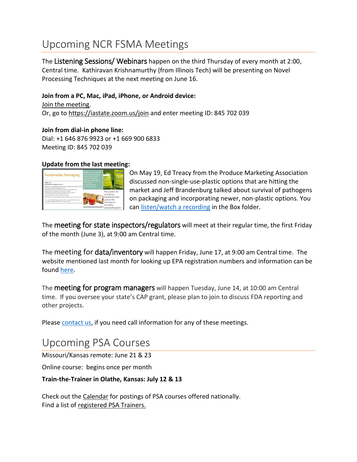### Upcoming NCR FSMA Meetings

The Listening Sessions/ Webinars happen on the third Thursday of every month at 2:00, Central time. Kathiravan Krishnamurthy (from Illinois Tech) will be presenting on Novel Processing Techniques at the next meeting on June 16.

#### **Join from a PC, Mac, iPad, iPhone, or Android device:**

[Join the meeting.](https://iastate.zoom.us/j/845702039) Or, go to<https://iastate.zoom.us/join> and enter meeting ID: 845 702 039

**Join from dial-in phone line:** Dial: +1 646 876 9923 or +1 669 900 6833 Meeting ID: 845 702 039

#### **Update from the last meeting:**



On May 19, Ed Treacy from the Produce Marketing Association discussed non-single-use-plastic options that are hitting the market and Jeff Brandenburg talked about survival of pathogens on packaging and incorporating newer, non-plastic options. You can [listen/watch a recording](https://iastate.box.com/s/d9gay2oo9dsqygtveg7fcj0f1bkqogtj) in the Box folder.

The meeting for state inspectors/regulators will meet at their regular time, the first Friday of the month (June 3), at 9:00 am Central time.

The meeting for data/inventory will happen Friday, June 17, at 9:00 am Central time. The website mentioned last month for looking up EPA registration numbers and information can be found [here.](https://www.kellysolutions.com/wi/searchbyproductid.asp)

The meeting for program managers will happen Tuesday, June 14, at 10:00 am Central time. If you oversee your state's CAP grant, please plan to join to discuss FDA reporting and other projects.

Please [contact us,](mailto:johnsene@iastate.edu) if you need call information for any of these meetings.

#### Upcoming PSA Courses

Missouri/Kansas remote: June 21 & 23

Online course: begins once per month

#### **Train-the-Trainer in Olathe, Kansas: July 12 & 13**

Check out the [Calendar](https://producesafetyalliance.cornell.edu/training/grower-training-courses/upcoming-grower-trainings) for postings of PSA courses offered nationally. Find a list of [registered PSA Trainers.](https://producesafetyalliance.cornell.edu/training/directory)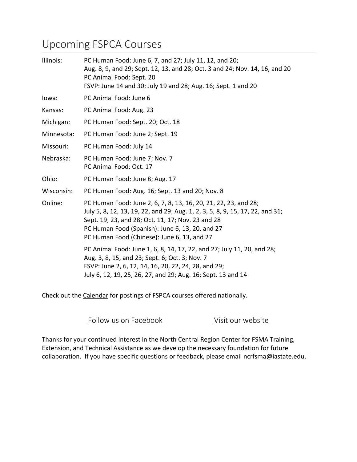#### Upcoming FSPCA Courses

| Illinois:  | PC Human Food: June 6, 7, and 27; July 11, 12, and 20;<br>Aug. 8, 9, and 29; Sept. 12, 13, and 28; Oct. 3 and 24; Nov. 14, 16, and 20<br>PC Animal Food: Sept. 20<br>FSVP: June 14 and 30; July 19 and 28; Aug. 16; Sept. 1 and 20                                                                      |
|------------|---------------------------------------------------------------------------------------------------------------------------------------------------------------------------------------------------------------------------------------------------------------------------------------------------------|
| lowa:      | PC Animal Food: June 6                                                                                                                                                                                                                                                                                  |
| Kansas:    | PC Animal Food: Aug. 23                                                                                                                                                                                                                                                                                 |
| Michigan:  | PC Human Food: Sept. 20; Oct. 18                                                                                                                                                                                                                                                                        |
| Minnesota: | PC Human Food: June 2; Sept. 19                                                                                                                                                                                                                                                                         |
| Missouri:  | PC Human Food: July 14                                                                                                                                                                                                                                                                                  |
| Nebraska:  | PC Human Food: June 7; Nov. 7<br>PC Animal Food: Oct. 17                                                                                                                                                                                                                                                |
| Ohio:      | PC Human Food: June 8; Aug. 17                                                                                                                                                                                                                                                                          |
| Wisconsin: | PC Human Food: Aug. 16; Sept. 13 and 20; Nov. 8                                                                                                                                                                                                                                                         |
| Online:    | PC Human Food: June 2, 6, 7, 8, 13, 16, 20, 21, 22, 23, and 28;<br>July 5, 8, 12, 13, 19, 22, and 29; Aug. 1, 2, 3, 5, 8, 9, 15, 17, 22, and 31;<br>Sept. 19, 23, and 28; Oct. 11, 17; Nov. 23 and 28<br>PC Human Food (Spanish): June 6, 13, 20, and 27<br>PC Human Food (Chinese): June 6, 13, and 27 |
|            | PC Animal Food: June 1, 6, 8, 14, 17, 22, and 27; July 11, 20, and 28;<br>Aug. 3, 8, 15, and 23; Sept. 6; Oct. 3; Nov. 7<br>FSVP: June 2, 6, 12, 14, 16, 20, 22, 24, 28, and 29;<br>July 6, 12, 19, 25, 26, 27, and 29; Aug. 16; Sept. 13 and 14                                                        |

Check out the [Calendar](https://fspca.force.com/FSPCA/s/courselist?language=en_US) for postings of FSPCA courses offered nationally.

Follow [us on Facebook](https://www.facebook.com/NCRFSMA/?eid=ARBzdu-tYvqzMWBJ0SosZ4CGz-0KmdTGuhqIT9aO3I_cVj_v_sE_i7WFIW_Mzwh7l_9f19WV_A5AQinO) [Visit our website](https://www.ncrfsma.org/)

Thanks for your continued interest in the North Central Region Center for FSMA Training, Extension, and Technical Assistance as we develop the necessary foundation for future collaboration. If you have specific questions or feedback, please email [ncrfsma@iastate.edu.](mailto:ncrfsma@iastate.edu)